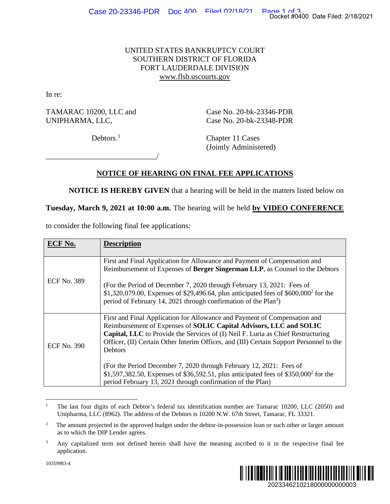## UNITED STATES BANKRUPTCY COURT SOUTHERN DISTRICT OF FLORIDA FORT LAUDERDALE DIVISION www.flsb.uscourts.gov

## **NOTICE OF HEARING ON FINAL FEE APPLICATIONS**

|                                                                                                                                |                                                                                                                                                                                                                                                                                                                                                                                                                                                                                                                      | Docket #0400 Date Filed: 2/18/2021 |
|--------------------------------------------------------------------------------------------------------------------------------|----------------------------------------------------------------------------------------------------------------------------------------------------------------------------------------------------------------------------------------------------------------------------------------------------------------------------------------------------------------------------------------------------------------------------------------------------------------------------------------------------------------------|------------------------------------|
|                                                                                                                                | UNITED STATES BANKRUPTCY COURT<br>SOUTHERN DISTRICT OF FLORIDA<br>FORT LAUDERDALE DIVISION<br>www.flsb.uscourts.gov                                                                                                                                                                                                                                                                                                                                                                                                  |                                    |
| In re:                                                                                                                         |                                                                                                                                                                                                                                                                                                                                                                                                                                                                                                                      |                                    |
| TAMARAC 10200, LLC and<br>UNIPHARMA, LLC,                                                                                      | Case No. 20-bk-23346-PDR<br>Case No. 20-bk-23348-PDR                                                                                                                                                                                                                                                                                                                                                                                                                                                                 |                                    |
|                                                                                                                                | Debtors. $1$<br>Chapter 11 Cases<br>(Jointly Administered)                                                                                                                                                                                                                                                                                                                                                                                                                                                           |                                    |
|                                                                                                                                | <b>NOTICE OF HEARING ON FINAL FEE APPLICATIONS</b><br><b>NOTICE IS HEREBY GIVEN</b> that a hearing will be held in the matters listed below on                                                                                                                                                                                                                                                                                                                                                                       |                                    |
|                                                                                                                                | Tuesday, March 9, 2021 at 10:00 a.m. The hearing will be held by VIDEO CONFERENCE                                                                                                                                                                                                                                                                                                                                                                                                                                    |                                    |
|                                                                                                                                | to consider the following final fee applications:                                                                                                                                                                                                                                                                                                                                                                                                                                                                    |                                    |
| <b>ECF No.</b>                                                                                                                 | <b>Description</b>                                                                                                                                                                                                                                                                                                                                                                                                                                                                                                   |                                    |
| <b>ECF No. 389</b>                                                                                                             | First and Final Application for Allowance and Payment of Compensation and<br>Reimbursement of Expenses of Berger Singerman LLP, as Counsel to the Debtors<br>(For the Period of December 7, 2020 through February 13, 2021: Fees of<br>\$1,320,079.00, Expenses of \$29,496.64, plus anticipated fees of \$600,000 <sup>2</sup> for the<br>period of February 14, 2021 through confirmation of the Plan <sup>3</sup> )                                                                                               |                                    |
| <b>ECF No. 390</b>                                                                                                             | First and Final Application for Allowance and Payment of Compensation and<br>Reimbursement of Expenses of SOLIC Capital Advisors, LLC and SOLIC<br>Capital, LLC to Provide the Services of (I) Neil F. Luria as Chief Restructuring<br>Officer, (II) Certain Other Interim Offices, and (III) Certain Support Personnel to the<br>Debtors<br>(For the Period December 7, 2020 through February 12, 2021: Fees of<br>\$1,597,382.50, Expenses of \$36,592.51, plus anticipated fees of \$350,000 <sup>2</sup> for the |                                    |
|                                                                                                                                | period February 13, 2021 through confirmation of the Plan)                                                                                                                                                                                                                                                                                                                                                                                                                                                           |                                    |
| $\mathbf{1}$                                                                                                                   | The last four digits of each Debtor's federal tax identification number are Tamarac 10200, LLC (2050) and<br>Unipharma, LLC (8962). The address of the Debtors is 10200 N.W. 67th Street, Tamarac, FL 33321.                                                                                                                                                                                                                                                                                                         |                                    |
| $\boldsymbol{2}$                                                                                                               | The amount projected in the approved budget under the debtor-in-possession loan or such other or larger amount<br>as to which the DIP Lender agrees.                                                                                                                                                                                                                                                                                                                                                                 |                                    |
| 3<br>Any capitalized term not defined herein shall have the meaning ascribed to it in the respective final fee<br>application. |                                                                                                                                                                                                                                                                                                                                                                                                                                                                                                                      |                                    |
| 10359983-4                                                                                                                     | 2023346210218000000000003                                                                                                                                                                                                                                                                                                                                                                                                                                                                                            |                                    |

<sup>&</sup>lt;sup>1</sup> The last four digits of each Debtor's federal tax identification number are Tamarac 10200, LLC (2050) and Unipharma, LLC (8962). The address of the Debtors is 10200 N.W. 67th Street, Tamarac, FL 33321.

<sup>3</sup> Any capitalized term not defined herein shall have the meaning ascribed to it in the respective final fee application.



<sup>2</sup> The amount projected in the approved budget under the debtor-in-possession loan or such other or larger amount as to which the DIP Lender agrees.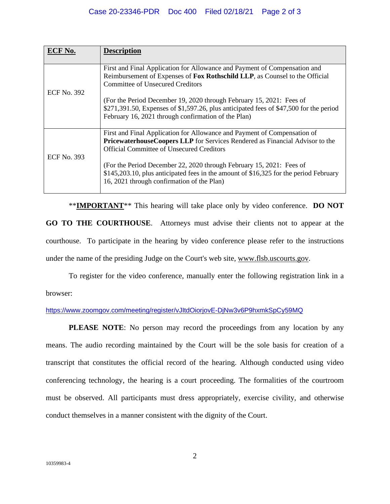## Case 20-23346-PDR Doc 400 Filed 02/18/21 Page 2 of 3

|                    | <b>Description</b>                                                                                                                                                                                                                                                   |
|--------------------|----------------------------------------------------------------------------------------------------------------------------------------------------------------------------------------------------------------------------------------------------------------------|
| <b>ECF No. 392</b> | First and Final Application for Allowance and Payment of Compensation and<br>Reimbursement of Expenses of Fox Rothschild LLP, as Counsel to the Official<br>Committee of Unsecured Creditors<br>(For the Period December 19, 2020 through February 15, 2021: Fees of |
|                    | $$271,391.50$ , Expenses of $$1,597.26$ , plus anticipated fees of $$47,500$ for the period<br>February 16, 2021 through confirmation of the Plan)                                                                                                                   |
| ECF No. 393        | First and Final Application for Allowance and Payment of Compensation of<br><b>PricewaterhouseCoopers LLP</b> for Services Rendered as Financial Advisor to the<br>Official Committee of Unsecured Creditors                                                         |
|                    | (For the Period December 22, 2020 through February 15, 2021: Fees of<br>\$145,203.10, plus anticipated fees in the amount of \$16,325 for the period February<br>16, 2021 through confirmation of the Plan)                                                          |

 \*\***IMPORTANT**\*\* This hearing will take place only by video conference. **DO NOT GO TO THE COURTHOUSE**. Attorneys must advise their clients not to appear at the courthouse. To participate in the hearing by video conference please refer to the instructions under the name of the presiding Judge on the Court's web site, www.flsb.uscourts.gov.

To register for the video conference, manually enter the following registration link in a

browser:

## https://www.zoomgov.com/meeting/register/vJItdOiorjovE-DjNw3v6P9hxmkSpCy59MQ

**PLEASE NOTE:** No person may record the proceedings from any location by any means. The audio recording maintained by the Court will be the sole basis for creation of a transcript that constitutes the official record of the hearing. Although conducted using video conferencing technology, the hearing is a court proceeding. The formalities of the courtroom must be observed. All participants must dress appropriately, exercise civility, and otherwise conduct themselves in a manner consistent with the dignity of the Court.